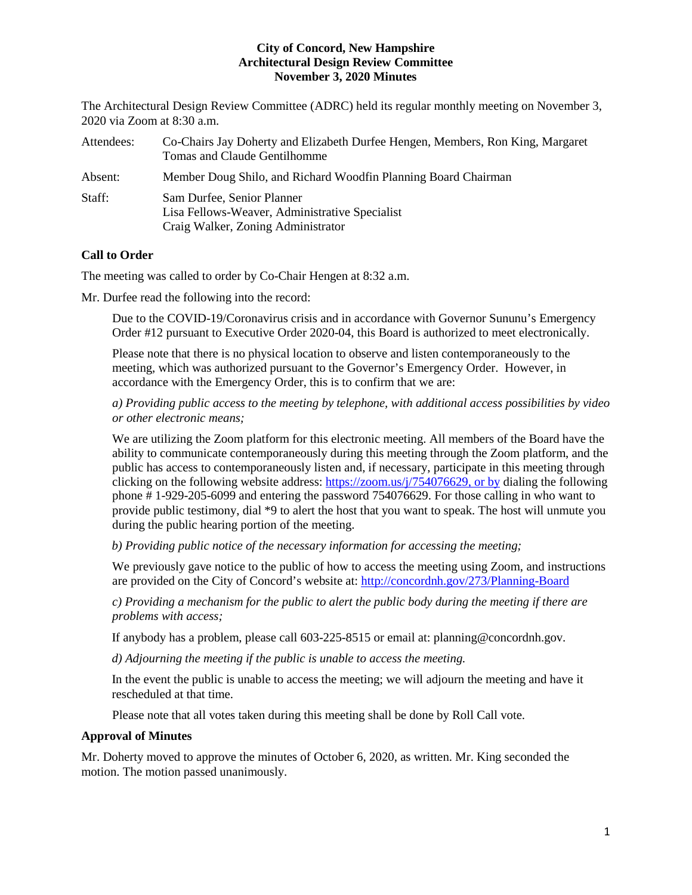The Architectural Design Review Committee (ADRC) held its regular monthly meeting on November 3, 2020 via Zoom at 8:30 a.m.

| Attendees: | Co-Chairs Jay Doherty and Elizabeth Durfee Hengen, Members, Ron King, Margaret<br>Tomas and Claude Gentilhomme     |
|------------|--------------------------------------------------------------------------------------------------------------------|
| Absent:    | Member Doug Shilo, and Richard Woodfin Planning Board Chairman                                                     |
| Staff:     | Sam Durfee, Senior Planner<br>Lisa Fellows-Weaver, Administrative Specialist<br>Craig Walker, Zoning Administrator |

# **Call to Order**

The meeting was called to order by Co-Chair Hengen at 8:32 a.m.

Mr. Durfee read the following into the record:

Due to the COVID-19/Coronavirus crisis and in accordance with Governor Sununu's Emergency Order #12 pursuant to Executive Order 2020-04, this Board is authorized to meet electronically.

Please note that there is no physical location to observe and listen contemporaneously to the meeting, which was authorized pursuant to the Governor's Emergency Order. However, in accordance with the Emergency Order, this is to confirm that we are:

*a) Providing public access to the meeting by telephone, with additional access possibilities by video or other electronic means;* 

We are utilizing the Zoom platform for this electronic meeting. All members of the Board have the ability to communicate contemporaneously during this meeting through the Zoom platform, and the public has access to contemporaneously listen and, if necessary, participate in this meeting through clicking on the following website address: [https://zoom.us/j/754076629,](https://zoom.us/j/754076629) or by dialing the following phone # 1-929-205-6099 and entering the password 754076629. For those calling in who want to provide public testimony, dial \*9 to alert the host that you want to speak. The host will unmute you during the public hearing portion of the meeting.

*b) Providing public notice of the necessary information for accessing the meeting;*

We previously gave notice to the public of how to access the meeting using Zoom, and instructions are provided on the City of Concord's website at: <http://concordnh.gov/273/Planning-Board>

*c) Providing a mechanism for the public to alert the public body during the meeting if there are problems with access;* 

If anybody has a problem, please call 603-225-8515 or email at: planning@concordnh.gov.

*d) Adjourning the meeting if the public is unable to access the meeting.*

In the event the public is unable to access the meeting; we will adjourn the meeting and have it rescheduled at that time.

Please note that all votes taken during this meeting shall be done by Roll Call vote.

# **Approval of Minutes**

Mr. Doherty moved to approve the minutes of October 6, 2020, as written. Mr. King seconded the motion. The motion passed unanimously.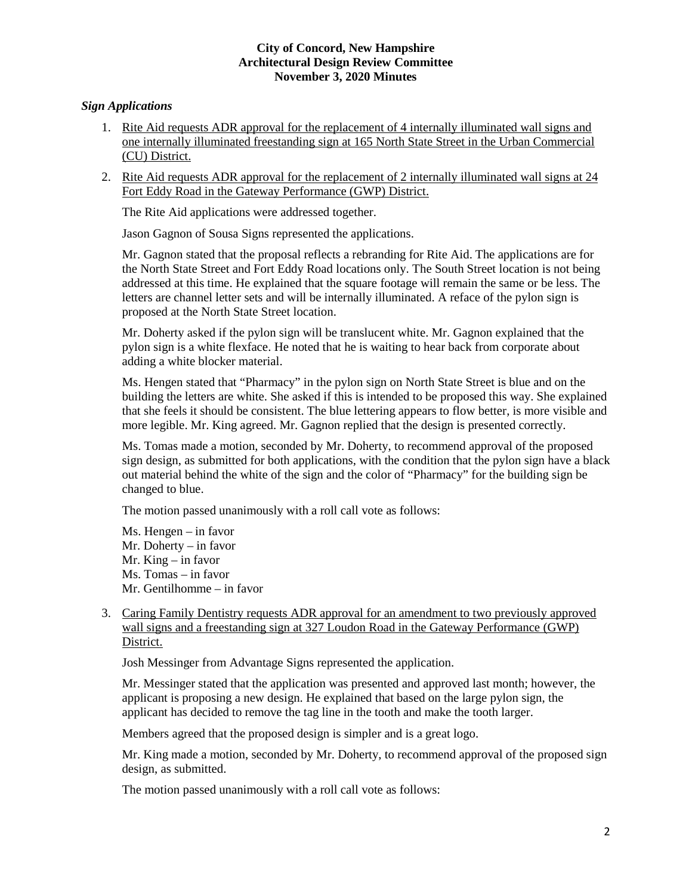# *Sign Applications*

- 1. Rite Aid requests ADR approval for the replacement of 4 internally illuminated wall signs and one internally illuminated freestanding sign at 165 North State Street in the Urban Commercial (CU) District.
- 2. Rite Aid requests ADR approval for the replacement of 2 internally illuminated wall signs at 24 Fort Eddy Road in the Gateway Performance (GWP) District.

The Rite Aid applications were addressed together.

Jason Gagnon of Sousa Signs represented the applications.

Mr. Gagnon stated that the proposal reflects a rebranding for Rite Aid. The applications are for the North State Street and Fort Eddy Road locations only. The South Street location is not being addressed at this time. He explained that the square footage will remain the same or be less. The letters are channel letter sets and will be internally illuminated. A reface of the pylon sign is proposed at the North State Street location.

Mr. Doherty asked if the pylon sign will be translucent white. Mr. Gagnon explained that the pylon sign is a white flexface. He noted that he is waiting to hear back from corporate about adding a white blocker material.

Ms. Hengen stated that "Pharmacy" in the pylon sign on North State Street is blue and on the building the letters are white. She asked if this is intended to be proposed this way. She explained that she feels it should be consistent. The blue lettering appears to flow better, is more visible and more legible. Mr. King agreed. Mr. Gagnon replied that the design is presented correctly.

Ms. Tomas made a motion, seconded by Mr. Doherty, to recommend approval of the proposed sign design, as submitted for both applications, with the condition that the pylon sign have a black out material behind the white of the sign and the color of "Pharmacy" for the building sign be changed to blue.

The motion passed unanimously with a roll call vote as follows:

Ms. Hengen – in favor Mr. Doherty – in favor Mr. King – in favor Ms. Tomas – in favor Mr. Gentilhomme – in favor

3. Caring Family Dentistry requests ADR approval for an amendment to two previously approved wall signs and a freestanding sign at 327 Loudon Road in the Gateway Performance (GWP) District.

Josh Messinger from Advantage Signs represented the application.

Mr. Messinger stated that the application was presented and approved last month; however, the applicant is proposing a new design. He explained that based on the large pylon sign, the applicant has decided to remove the tag line in the tooth and make the tooth larger.

Members agreed that the proposed design is simpler and is a great logo.

Mr. King made a motion, seconded by Mr. Doherty, to recommend approval of the proposed sign design, as submitted.

The motion passed unanimously with a roll call vote as follows: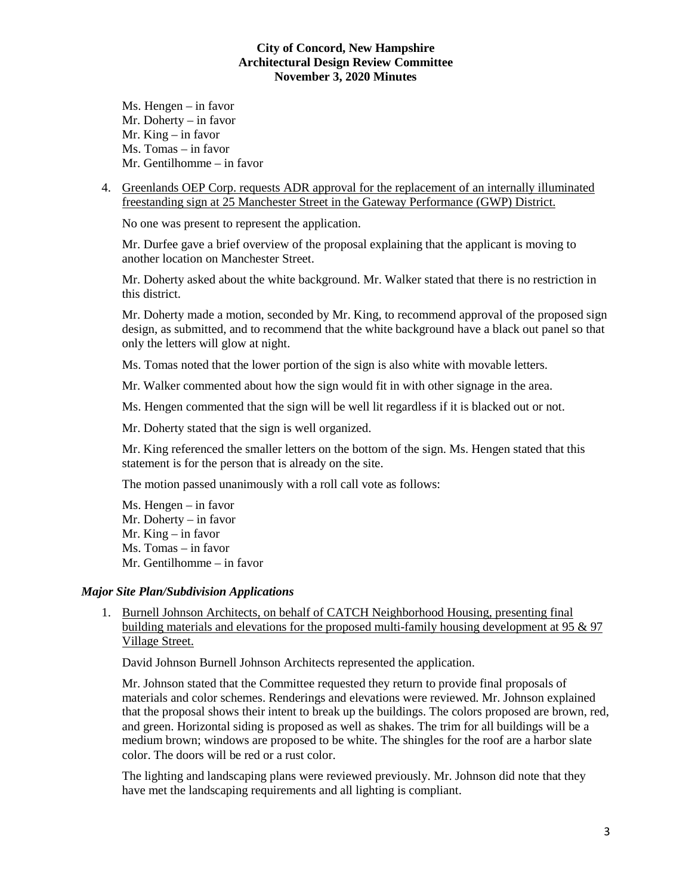- Ms. Hengen in favor Mr. Doherty – in favor Mr. King – in favor Ms. Tomas – in favor Mr. Gentilhomme – in favor
- 4. Greenlands OEP Corp. requests ADR approval for the replacement of an internally illuminated freestanding sign at 25 Manchester Street in the Gateway Performance (GWP) District.

No one was present to represent the application.

Mr. Durfee gave a brief overview of the proposal explaining that the applicant is moving to another location on Manchester Street.

Mr. Doherty asked about the white background. Mr. Walker stated that there is no restriction in this district.

Mr. Doherty made a motion, seconded by Mr. King, to recommend approval of the proposed sign design, as submitted, and to recommend that the white background have a black out panel so that only the letters will glow at night.

Ms. Tomas noted that the lower portion of the sign is also white with movable letters.

Mr. Walker commented about how the sign would fit in with other signage in the area.

Ms. Hengen commented that the sign will be well lit regardless if it is blacked out or not.

Mr. Doherty stated that the sign is well organized.

Mr. King referenced the smaller letters on the bottom of the sign. Ms. Hengen stated that this statement is for the person that is already on the site.

The motion passed unanimously with a roll call vote as follows:

Ms. Hengen – in favor Mr. Doherty – in favor Mr. King – in favor Ms. Tomas – in favor Mr. Gentilhomme – in favor

# *Major Site Plan/Subdivision Applications*

1. Burnell Johnson Architects, on behalf of CATCH Neighborhood Housing, presenting final building materials and elevations for the proposed multi-family housing development at 95 & 97 Village Street.

David Johnson Burnell Johnson Architects represented the application.

Mr. Johnson stated that the Committee requested they return to provide final proposals of materials and color schemes. Renderings and elevations were reviewed. Mr. Johnson explained that the proposal shows their intent to break up the buildings. The colors proposed are brown, red, and green. Horizontal siding is proposed as well as shakes. The trim for all buildings will be a medium brown; windows are proposed to be white. The shingles for the roof are a harbor slate color. The doors will be red or a rust color.

The lighting and landscaping plans were reviewed previously. Mr. Johnson did note that they have met the landscaping requirements and all lighting is compliant.